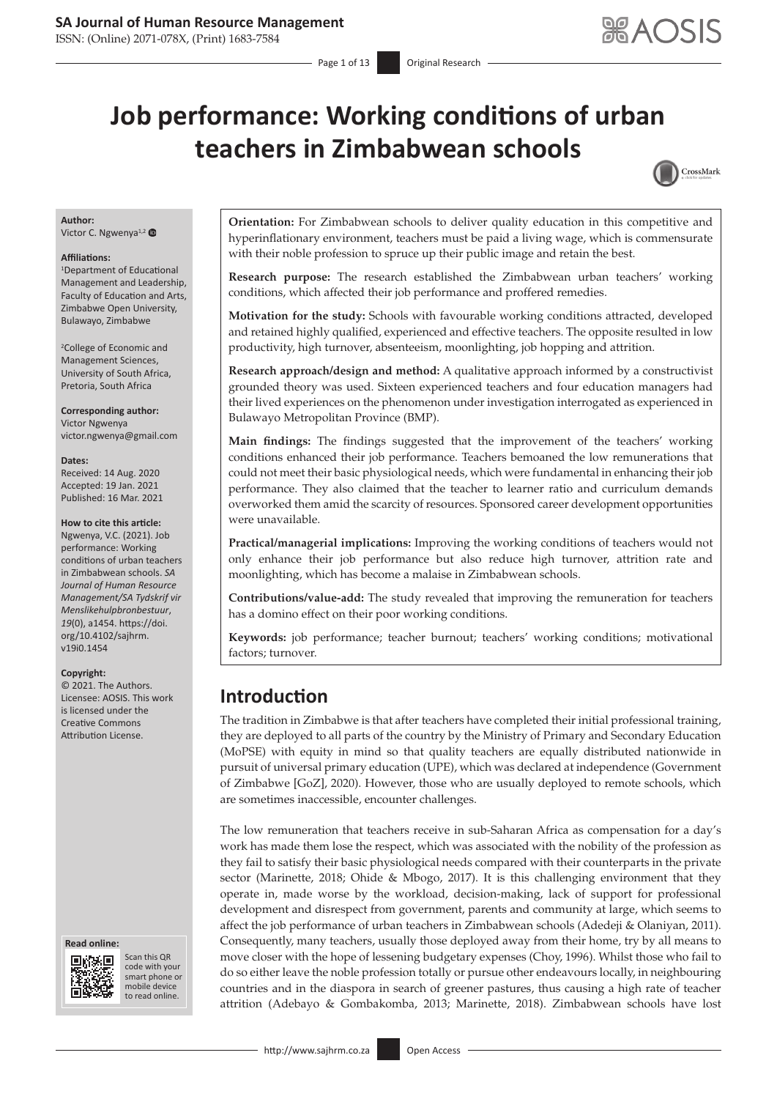ISSN: (Online) 2071-078X, (Print) 1683-7584

# **Job performance: Working conditions of urban teachers in Zimbabwean schools**



# **Author:**

Victor C. Ngwenya<sup>1,2</sup>

#### **Affiliations:**

1 Department of Educational Management and Leadership, Faculty of Education and Arts, Zimbabwe Open University, Bulawayo, Zimbabwe

2 College of Economic and Management Sciences, University of South Africa, Pretoria, South Africa

**Corresponding author:** Victor Ngwenya [victor.ngwenya@gmail.com](mailto:victor.ngwenya@gmail.com)

#### **Dates:**

Received: 14 Aug. 2020 Accepted: 19 Jan. 2021 Published: 16 Mar. 2021

### **How to cite this article:**

Ngwenya, V.C. (2021). Job performance: Working conditions of urban teachers in Zimbabwean schools. *SA Journal of Human Resource Management/SA Tydskrif vir Menslikehulpbronbestuur*, *19*(0), a1454. [https://doi.](https://doi.org/10.4102/sajhrm.v19i0.1454) [org/10.4102/sajhrm.](https://doi.org/10.4102/sajhrm.v19i0.1454) [v19i0.1454](https://doi.org/10.4102/sajhrm.v19i0.1454)

#### **Copyright:**

© 2021. The Authors. Licensee: AOSIS. This work is licensed under the Creative Commons Attribution License.

#### **Read online: Read online:**



Scan this QR code with your Scan this QR<br>code with your<br>smart phone or<br>mobile device mobile device to read online. to read online.

**Orientation:** For Zimbabwean schools to deliver quality education in this competitive and hyperinflationary environment, teachers must be paid a living wage, which is commensurate with their noble profession to spruce up their public image and retain the best.

**Research purpose:** The research established the Zimbabwean urban teachers' working conditions, which affected their job performance and proffered remedies.

**Motivation for the study:** Schools with favourable working conditions attracted, developed and retained highly qualified, experienced and effective teachers. The opposite resulted in low productivity, high turnover, absenteeism, moonlighting, job hopping and attrition.

**Research approach/design and method:** A qualitative approach informed by a constructivist grounded theory was used. Sixteen experienced teachers and four education managers had their lived experiences on the phenomenon under investigation interrogated as experienced in Bulawayo Metropolitan Province (BMP).

**Main findings:** The findings suggested that the improvement of the teachers' working conditions enhanced their job performance. Teachers bemoaned the low remunerations that could not meet their basic physiological needs, which were fundamental in enhancing their job performance. They also claimed that the teacher to learner ratio and curriculum demands overworked them amid the scarcity of resources. Sponsored career development opportunities were unavailable.

**Practical/managerial implications:** Improving the working conditions of teachers would not only enhance their job performance but also reduce high turnover, attrition rate and moonlighting, which has become a malaise in Zimbabwean schools.

**Contributions/value-add:** The study revealed that improving the remuneration for teachers has a domino effect on their poor working conditions.

**Keywords:** job performance; teacher burnout; teachers' working conditions; motivational factors; turnover.

# **Introduction**

The tradition in Zimbabwe is that after teachers have completed their initial professional training, they are deployed to all parts of the country by the Ministry of Primary and Secondary Education (MoPSE) with equity in mind so that quality teachers are equally distributed nationwide in pursuit of universal primary education (UPE), which was declared at independence (Government of Zimbabwe [GoZ], 2020). However, those who are usually deployed to remote schools, which are sometimes inaccessible, encounter challenges.

The low remuneration that teachers receive in sub-Saharan Africa as compensation for a day's work has made them lose the respect, which was associated with the nobility of the profession as they fail to satisfy their basic physiological needs compared with their counterparts in the private sector (Marinette, 2018; Ohide & Mbogo, 2017). It is this challenging environment that they operate in, made worse by the workload, decision-making, lack of support for professional development and disrespect from government, parents and community at large, which seems to affect the job performance of urban teachers in Zimbabwean schools (Adedeji & Olaniyan, 2011). Consequently, many teachers, usually those deployed away from their home, try by all means to move closer with the hope of lessening budgetary expenses (Choy, 1996). Whilst those who fail to do so either leave the noble profession totally or pursue other endeavours locally, in neighbouring countries and in the diaspora in search of greener pastures, thus causing a high rate of teacher attrition (Adebayo & Gombakomba, 2013; Marinette, 2018). Zimbabwean schools have lost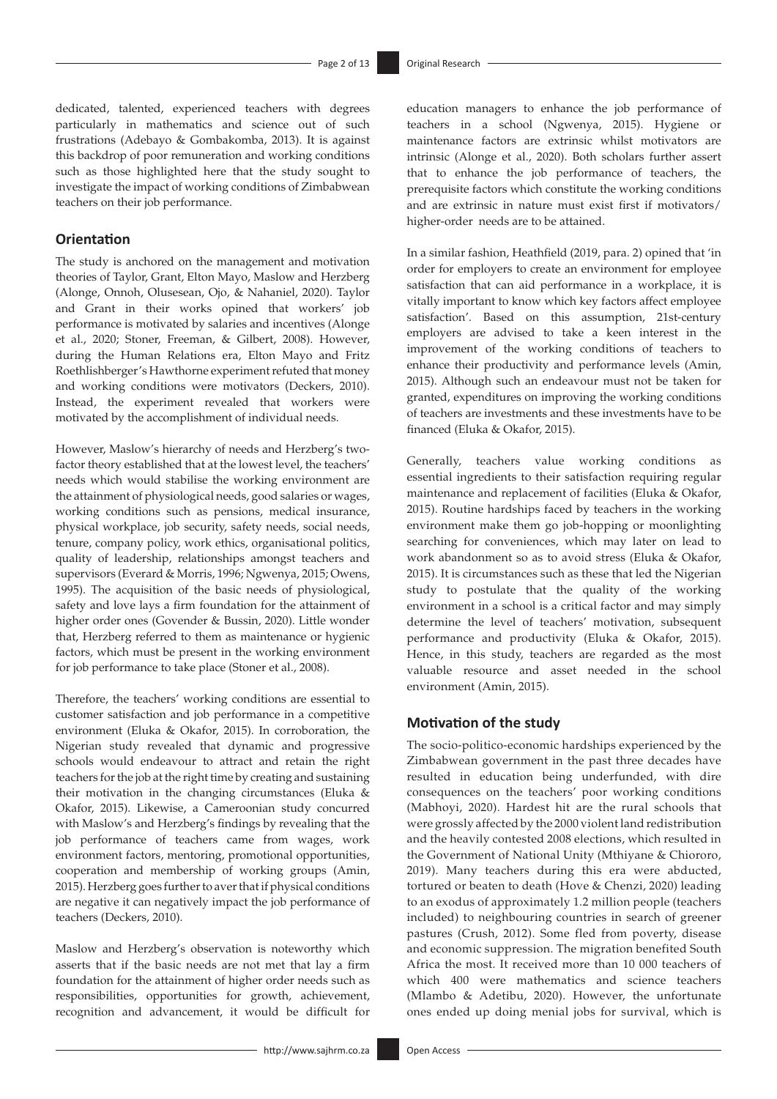dedicated, talented, experienced teachers with degrees particularly in mathematics and science out of such frustrations (Adebayo & Gombakomba, 2013). It is against this backdrop of poor remuneration and working conditions such as those highlighted here that the study sought to investigate the impact of working conditions of Zimbabwean teachers on their job performance.

# **Orientation**

The study is anchored on the management and motivation theories of Taylor, Grant, Elton Mayo, Maslow and Herzberg (Alonge, Onnoh, Olusesean, Ojo, & Nahaniel, 2020). Taylor and Grant in their works opined that workers' job performance is motivated by salaries and incentives (Alonge et al., 2020; Stoner, Freeman, & Gilbert, 2008). However, during the Human Relations era, Elton Mayo and Fritz Roethlishberger's Hawthorne experiment refuted that money and working conditions were motivators (Deckers, 2010). Instead, the experiment revealed that workers were motivated by the accomplishment of individual needs.

However, Maslow's hierarchy of needs and Herzberg's twofactor theory established that at the lowest level, the teachers' needs which would stabilise the working environment are the attainment of physiological needs, good salaries or wages, working conditions such as pensions, medical insurance, physical workplace, job security, safety needs, social needs, tenure, company policy, work ethics, organisational politics, quality of leadership, relationships amongst teachers and supervisors (Everard & Morris, 1996; Ngwenya, 2015; Owens, 1995). The acquisition of the basic needs of physiological, safety and love lays a firm foundation for the attainment of higher order ones (Govender & Bussin, 2020). Little wonder that, Herzberg referred to them as maintenance or hygienic factors, which must be present in the working environment for job performance to take place (Stoner et al., 2008).

Therefore, the teachers' working conditions are essential to customer satisfaction and job performance in a competitive environment (Eluka & Okafor, 2015). In corroboration, the Nigerian study revealed that dynamic and progressive schools would endeavour to attract and retain the right teachers for the job at the right time by creating and sustaining their motivation in the changing circumstances (Eluka & Okafor, 2015). Likewise, a Cameroonian study concurred with Maslow's and Herzberg's findings by revealing that the job performance of teachers came from wages, work environment factors, mentoring, promotional opportunities, cooperation and membership of working groups (Amin, 2015). Herzberg goes further to aver that if physical conditions are negative it can negatively impact the job performance of teachers (Deckers, 2010).

Maslow and Herzberg's observation is noteworthy which asserts that if the basic needs are not met that lay a firm foundation for the attainment of higher order needs such as responsibilities, opportunities for growth, achievement, recognition and advancement, it would be difficult for

education managers to enhance the job performance of teachers in a school (Ngwenya, 2015). Hygiene or maintenance factors are extrinsic whilst motivators are intrinsic (Alonge et al., 2020). Both scholars further assert that to enhance the job performance of teachers, the prerequisite factors which constitute the working conditions and are extrinsic in nature must exist first if motivators/ higher-order needs are to be attained.

In a similar fashion, Heathfield (2019, para. 2) opined that 'in order for employers to create an environment for employee satisfaction that can aid performance in a workplace, it is vitally important to know which key factors affect employee satisfaction'. Based on this assumption, 21st-century employers are advised to take a keen interest in the improvement of the working conditions of teachers to enhance their productivity and performance levels (Amin, 2015). Although such an endeavour must not be taken for granted, expenditures on improving the working conditions of teachers are investments and these investments have to be financed (Eluka & Okafor, 2015).

Generally, teachers value working conditions as essential ingredients to their satisfaction requiring regular maintenance and replacement of facilities (Eluka & Okafor, 2015). Routine hardships faced by teachers in the working environment make them go job-hopping or moonlighting searching for conveniences, which may later on lead to work abandonment so as to avoid stress (Eluka & Okafor, 2015). It is circumstances such as these that led the Nigerian study to postulate that the quality of the working environment in a school is a critical factor and may simply determine the level of teachers' motivation, subsequent performance and productivity (Eluka & Okafor, 2015). Hence, in this study, teachers are regarded as the most valuable resource and asset needed in the school environment (Amin, 2015).

# **Motivation of the study**

The socio-politico-economic hardships experienced by the Zimbabwean government in the past three decades have resulted in education being underfunded, with dire consequences on the teachers' poor working conditions (Mabhoyi, 2020). Hardest hit are the rural schools that were grossly affected by the 2000 violent land redistribution and the heavily contested 2008 elections, which resulted in the Government of National Unity (Mthiyane & Chiororo, 2019). Many teachers during this era were abducted, tortured or beaten to death (Hove & Chenzi, 2020) leading to an exodus of approximately 1.2 million people (teachers included) to neighbouring countries in search of greener pastures (Crush, 2012). Some fled from poverty, disease and economic suppression. The migration benefited South Africa the most. It received more than 10 000 teachers of which 400 were mathematics and science teachers (Mlambo & Adetibu, 2020). However, the unfortunate ones ended up doing menial jobs for survival, which is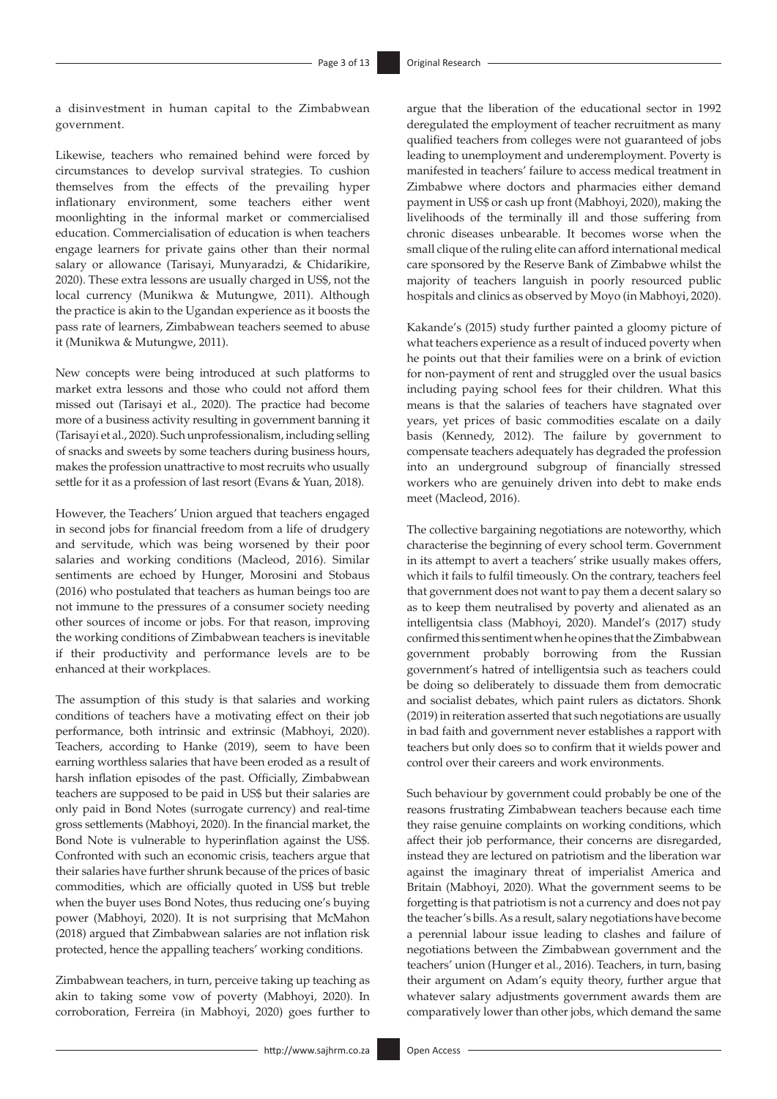a disinvestment in human capital to the Zimbabwean government.

Likewise, teachers who remained behind were forced by circumstances to develop survival strategies. To cushion themselves from the effects of the prevailing hyper inflationary environment, some teachers either went moonlighting in the informal market or commercialised education. Commercialisation of education is when teachers engage learners for private gains other than their normal salary or allowance (Tarisayi, Munyaradzi, & Chidarikire, 2020). These extra lessons are usually charged in US\$, not the local currency (Munikwa & Mutungwe, 2011). Although the practice is akin to the Ugandan experience as it boosts the pass rate of learners, Zimbabwean teachers seemed to abuse it (Munikwa & Mutungwe, 2011).

New concepts were being introduced at such platforms to market extra lessons and those who could not afford them missed out (Tarisayi et al., 2020). The practice had become more of a business activity resulting in government banning it (Tarisayi et al., 2020). Such unprofessionalism, including selling of snacks and sweets by some teachers during business hours, makes the profession unattractive to most recruits who usually settle for it as a profession of last resort (Evans & Yuan, 2018).

However, the Teachers' Union argued that teachers engaged in second jobs for financial freedom from a life of drudgery and servitude, which was being worsened by their poor salaries and working conditions (Macleod, 2016). Similar sentiments are echoed by Hunger, Morosini and Stobaus (2016) who postulated that teachers as human beings too are not immune to the pressures of a consumer society needing other sources of income or jobs. For that reason, improving the working conditions of Zimbabwean teachers is inevitable if their productivity and performance levels are to be enhanced at their workplaces.

The assumption of this study is that salaries and working conditions of teachers have a motivating effect on their job performance, both intrinsic and extrinsic (Mabhoyi, 2020). Teachers, according to Hanke (2019), seem to have been earning worthless salaries that have been eroded as a result of harsh inflation episodes of the past. Officially, Zimbabwean teachers are supposed to be paid in US\$ but their salaries are only paid in Bond Notes (surrogate currency) and real-time gross settlements (Mabhoyi, 2020). In the financial market, the Bond Note is vulnerable to hyperinflation against the US\$. Confronted with such an economic crisis, teachers argue that their salaries have further shrunk because of the prices of basic commodities, which are officially quoted in US\$ but treble when the buyer uses Bond Notes, thus reducing one's buying power (Mabhoyi, 2020). It is not surprising that McMahon (2018) argued that Zimbabwean salaries are not inflation risk protected, hence the appalling teachers' working conditions.

Zimbabwean teachers, in turn, perceive taking up teaching as akin to taking some vow of poverty (Mabhoyi, 2020). In corroboration, Ferreira (in Mabhoyi, 2020) goes further to argue that the liberation of the educational sector in 1992 deregulated the employment of teacher recruitment as many qualified teachers from colleges were not guaranteed of jobs leading to unemployment and underemployment. Poverty is manifested in teachers' failure to access medical treatment in Zimbabwe where doctors and pharmacies either demand payment in US\$ or cash up front (Mabhoyi, 2020), making the livelihoods of the terminally ill and those suffering from chronic diseases unbearable. It becomes worse when the small clique of the ruling elite can afford international medical care sponsored by the Reserve Bank of Zimbabwe whilst the majority of teachers languish in poorly resourced public hospitals and clinics as observed by Moyo (in Mabhoyi, 2020).

Kakande's (2015) study further painted a gloomy picture of what teachers experience as a result of induced poverty when he points out that their families were on a brink of eviction for non-payment of rent and struggled over the usual basics including paying school fees for their children. What this means is that the salaries of teachers have stagnated over years, yet prices of basic commodities escalate on a daily basis (Kennedy, 2012). The failure by government to compensate teachers adequately has degraded the profession into an underground subgroup of financially stressed workers who are genuinely driven into debt to make ends meet (Macleod, 2016).

The collective bargaining negotiations are noteworthy, which characterise the beginning of every school term. Government in its attempt to avert a teachers' strike usually makes offers, which it fails to fulfil timeously. On the contrary, teachers feel that government does not want to pay them a decent salary so as to keep them neutralised by poverty and alienated as an intelligentsia class (Mabhoyi, 2020). Mandel's (2017) study confirmed this sentiment when he opines that the Zimbabwean government probably borrowing from the Russian government's hatred of intelligentsia such as teachers could be doing so deliberately to dissuade them from democratic and socialist debates, which paint rulers as dictators. Shonk (2019) in reiteration asserted that such negotiations are usually in bad faith and government never establishes a rapport with teachers but only does so to confirm that it wields power and control over their careers and work environments.

Such behaviour by government could probably be one of the reasons frustrating Zimbabwean teachers because each time they raise genuine complaints on working conditions, which affect their job performance, their concerns are disregarded, instead they are lectured on patriotism and the liberation war against the imaginary threat of imperialist America and Britain (Mabhoyi, 2020). What the government seems to be forgetting is that patriotism is not a currency and does not pay the teacher's bills. As a result, salary negotiations have become a perennial labour issue leading to clashes and failure of negotiations between the Zimbabwean government and the teachers' union (Hunger et al., 2016). Teachers, in turn, basing their argument on Adam's equity theory, further argue that whatever salary adjustments government awards them are comparatively lower than other jobs, which demand the same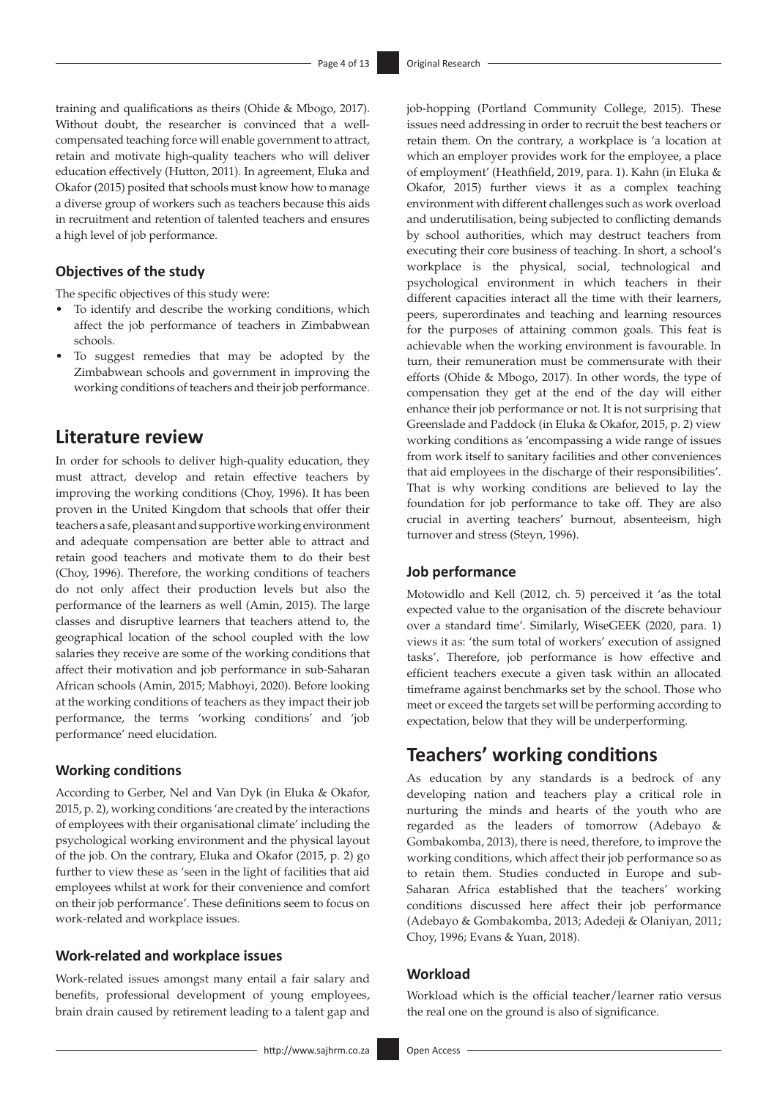training and qualifications as theirs (Ohide & Mbogo, 2017). Without doubt, the researcher is convinced that a wellcompensated teaching force will enable government to attract, retain and motivate high-quality teachers who will deliver education effectively (Hutton, 2011). In agreement, Eluka and Okafor (2015) posited that schools must know how to manage a diverse group of workers such as teachers because this aids in recruitment and retention of talented teachers and ensures a high level of job performance.

# **Objectives of the study**

The specific objectives of this study were:

- To identify and describe the working conditions, which affect the job performance of teachers in Zimbabwean schools.
- To suggest remedies that may be adopted by the Zimbabwean schools and government in improving the working conditions of teachers and their job performance.

# **Literature review**

In order for schools to deliver high-quality education, they must attract, develop and retain effective teachers by improving the working conditions (Choy, 1996). It has been proven in the United Kingdom that schools that offer their teachers a safe, pleasant and supportive working environment and adequate compensation are better able to attract and retain good teachers and motivate them to do their best (Choy, 1996). Therefore, the working conditions of teachers do not only affect their production levels but also the performance of the learners as well (Amin, 2015). The large classes and disruptive learners that teachers attend to, the geographical location of the school coupled with the low salaries they receive are some of the working conditions that affect their motivation and job performance in sub-Saharan African schools (Amin, 2015; Mabhoyi, 2020). Before looking at the working conditions of teachers as they impact their job performance, the terms 'working conditions' and 'job performance' need elucidation.

# **Working conditions**

According to Gerber, Nel and Van Dyk (in Eluka & Okafor, 2015, p. 2), working conditions 'are created by the interactions of employees with their organisational climate' including the psychological working environment and the physical layout of the job. On the contrary, Eluka and Okafor (2015, p. 2) go further to view these as 'seen in the light of facilities that aid employees whilst at work for their convenience and comfort on their job performance'. These definitions seem to focus on work-related and workplace issues.

# **Work-related and workplace issues**

Work-related issues amongst many entail a fair salary and benefits, professional development of young employees, brain drain caused by retirement leading to a talent gap and job-hopping (Portland Community College, 2015). These issues need addressing in order to recruit the best teachers or retain them. On the contrary, a workplace is 'a location at which an employer provides work for the employee, a place of employment' (Heathfield, 2019, para. 1). Kahn (in Eluka & Okafor, 2015) further views it as a complex teaching environment with different challenges such as work overload and underutilisation, being subjected to conflicting demands by school authorities, which may destruct teachers from executing their core business of teaching. In short, a school's workplace is the physical, social, technological and psychological environment in which teachers in their different capacities interact all the time with their learners, peers, superordinates and teaching and learning resources for the purposes of attaining common goals. This feat is achievable when the working environment is favourable. In turn, their remuneration must be commensurate with their efforts (Ohide & Mbogo, 2017). In other words, the type of compensation they get at the end of the day will either enhance their job performance or not. It is not surprising that Greenslade and Paddock (in Eluka & Okafor, 2015, p. 2) view working conditions as 'encompassing a wide range of issues from work itself to sanitary facilities and other conveniences that aid employees in the discharge of their responsibilities'. That is why working conditions are believed to lay the foundation for job performance to take off. They are also crucial in averting teachers' burnout, absenteeism, high turnover and stress (Steyn, 1996).

# **Job performance**

Motowidlo and Kell (2012, ch. 5) perceived it 'as the total expected value to the organisation of the discrete behaviour over a standard time'. Similarly, WiseGEEK (2020, para. 1) views it as: 'the sum total of workers' execution of assigned tasks'. Therefore, job performance is how effective and efficient teachers execute a given task within an allocated timeframe against benchmarks set by the school. Those who meet or exceed the targets set will be performing according to expectation, below that they will be underperforming.

# **Teachers' working conditions**

As education by any standards is a bedrock of any developing nation and teachers play a critical role in nurturing the minds and hearts of the youth who are regarded as the leaders of tomorrow (Adebayo & Gombakomba, 2013), there is need, therefore, to improve the working conditions, which affect their job performance so as to retain them. Studies conducted in Europe and sub-Saharan Africa established that the teachers' working conditions discussed here affect their job performance (Adebayo & Gombakomba, 2013; Adedeji & Olaniyan, 2011; Choy, 1996; Evans & Yuan, 2018).

### **Workload**

Workload which is the official teacher/learner ratio versus the real one on the ground is also of significance.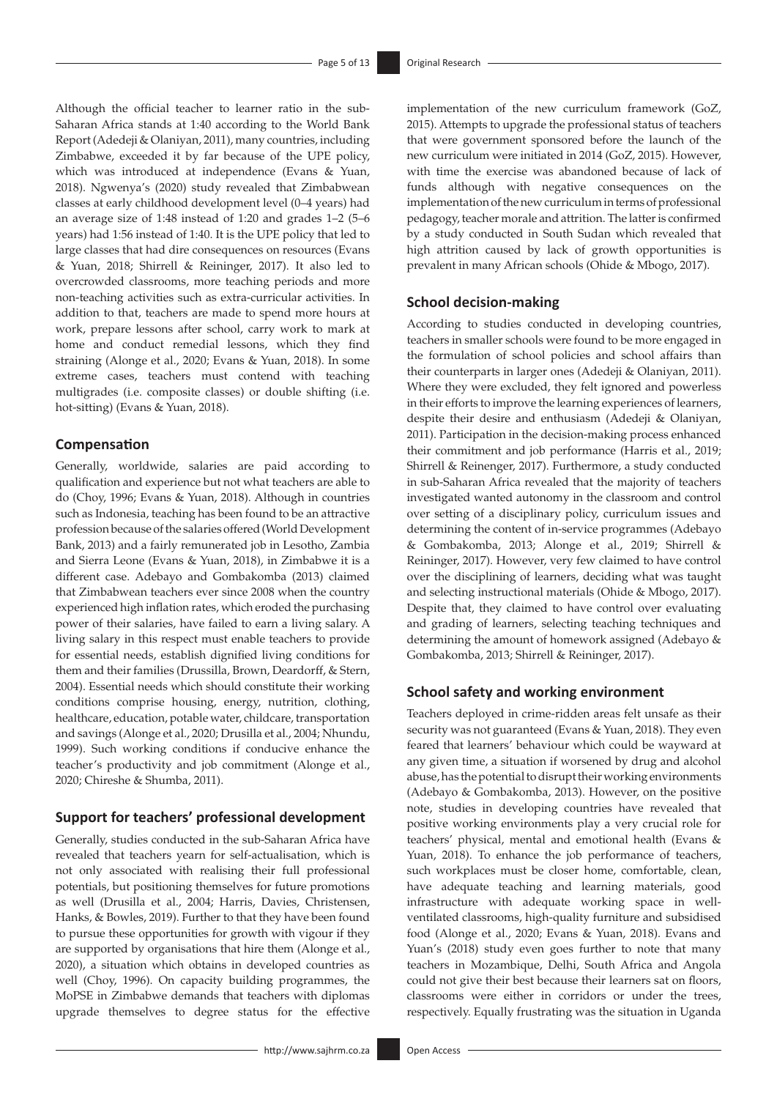Although the official teacher to learner ratio in the sub-Saharan Africa stands at 1:40 according to the World Bank Report (Adedeji & Olaniyan, 2011), many countries, including Zimbabwe, exceeded it by far because of the UPE policy, which was introduced at independence (Evans & Yuan, 2018). Ngwenya's (2020) study revealed that Zimbabwean classes at early childhood development level (0–4 years) had an average size of 1:48 instead of 1:20 and grades 1–2 (5–6 years) had 1:56 instead of 1:40. It is the UPE policy that led to large classes that had dire consequences on resources (Evans & Yuan, 2018; Shirrell & Reininger, 2017). It also led to overcrowded classrooms, more teaching periods and more non-teaching activities such as extra-curricular activities. In addition to that, teachers are made to spend more hours at work, prepare lessons after school, carry work to mark at home and conduct remedial lessons, which they find straining (Alonge et al., 2020; Evans & Yuan, 2018). In some extreme cases, teachers must contend with teaching multigrades (i.e. composite classes) or double shifting (i.e. hot-sitting) (Evans & Yuan, 2018).

# **Compensation**

Generally, worldwide, salaries are paid according to qualification and experience but not what teachers are able to do (Choy, 1996; Evans & Yuan, 2018). Although in countries such as Indonesia, teaching has been found to be an attractive profession because of the salaries offered (World Development Bank, 2013) and a fairly remunerated job in Lesotho, Zambia and Sierra Leone (Evans & Yuan, 2018), in Zimbabwe it is a different case. Adebayo and Gombakomba (2013) claimed that Zimbabwean teachers ever since 2008 when the country experienced high inflation rates, which eroded the purchasing power of their salaries, have failed to earn a living salary. A living salary in this respect must enable teachers to provide for essential needs, establish dignified living conditions for them and their families (Drussilla, Brown, Deardorff, & Stern, 2004). Essential needs which should constitute their working conditions comprise housing, energy, nutrition, clothing, healthcare, education, potable water, childcare, transportation and savings (Alonge et al., 2020; Drusilla et al., 2004; Nhundu, 1999). Such working conditions if conducive enhance the teacher's productivity and job commitment (Alonge et al., 2020; Chireshe & Shumba, 2011).

# **Support for teachers' professional development**

Generally, studies conducted in the sub-Saharan Africa have revealed that teachers yearn for self-actualisation, which is not only associated with realising their full professional potentials, but positioning themselves for future promotions as well (Drusilla et al., 2004; Harris, Davies, Christensen, Hanks, & Bowles, 2019). Further to that they have been found to pursue these opportunities for growth with vigour if they are supported by organisations that hire them (Alonge et al., 2020), a situation which obtains in developed countries as well (Choy, 1996). On capacity building programmes, the MoPSE in Zimbabwe demands that teachers with diplomas upgrade themselves to degree status for the effective

implementation of the new curriculum framework (GoZ, 2015). Attempts to upgrade the professional status of teachers that were government sponsored before the launch of the new curriculum were initiated in 2014 (GoZ, 2015). However, with time the exercise was abandoned because of lack of funds although with negative consequences on the implementation of the new curriculum in terms of professional pedagogy, teacher morale and attrition. The latter is confirmed by a study conducted in South Sudan which revealed that high attrition caused by lack of growth opportunities is prevalent in many African schools (Ohide & Mbogo, 2017).

# **School decision-making**

According to studies conducted in developing countries, teachers in smaller schools were found to be more engaged in the formulation of school policies and school affairs than their counterparts in larger ones (Adedeji & Olaniyan, 2011). Where they were excluded, they felt ignored and powerless in their efforts to improve the learning experiences of learners, despite their desire and enthusiasm (Adedeji & Olaniyan, 2011). Participation in the decision-making process enhanced their commitment and job performance (Harris et al., 2019; Shirrell & Reinenger, 2017). Furthermore, a study conducted in sub-Saharan Africa revealed that the majority of teachers investigated wanted autonomy in the classroom and control over setting of a disciplinary policy, curriculum issues and determining the content of in-service programmes (Adebayo & Gombakomba, 2013; Alonge et al., 2019; Shirrell & Reininger, 2017). However, very few claimed to have control over the disciplining of learners, deciding what was taught and selecting instructional materials (Ohide & Mbogo, 2017). Despite that, they claimed to have control over evaluating and grading of learners, selecting teaching techniques and determining the amount of homework assigned (Adebayo & Gombakomba, 2013; Shirrell & Reininger, 2017).

# **School safety and working environment**

Teachers deployed in crime-ridden areas felt unsafe as their security was not guaranteed (Evans & Yuan, 2018). They even feared that learners' behaviour which could be wayward at any given time, a situation if worsened by drug and alcohol abuse, has the potential to disrupt their working environments (Adebayo & Gombakomba, 2013). However, on the positive note, studies in developing countries have revealed that positive working environments play a very crucial role for teachers' physical, mental and emotional health (Evans & Yuan, 2018). To enhance the job performance of teachers, such workplaces must be closer home, comfortable, clean, have adequate teaching and learning materials, good infrastructure with adequate working space in wellventilated classrooms, high-quality furniture and subsidised food (Alonge et al., 2020; Evans & Yuan, 2018). Evans and Yuan's (2018) study even goes further to note that many teachers in Mozambique, Delhi, South Africa and Angola could not give their best because their learners sat on floors, classrooms were either in corridors or under the trees, respectively. Equally frustrating was the situation in Uganda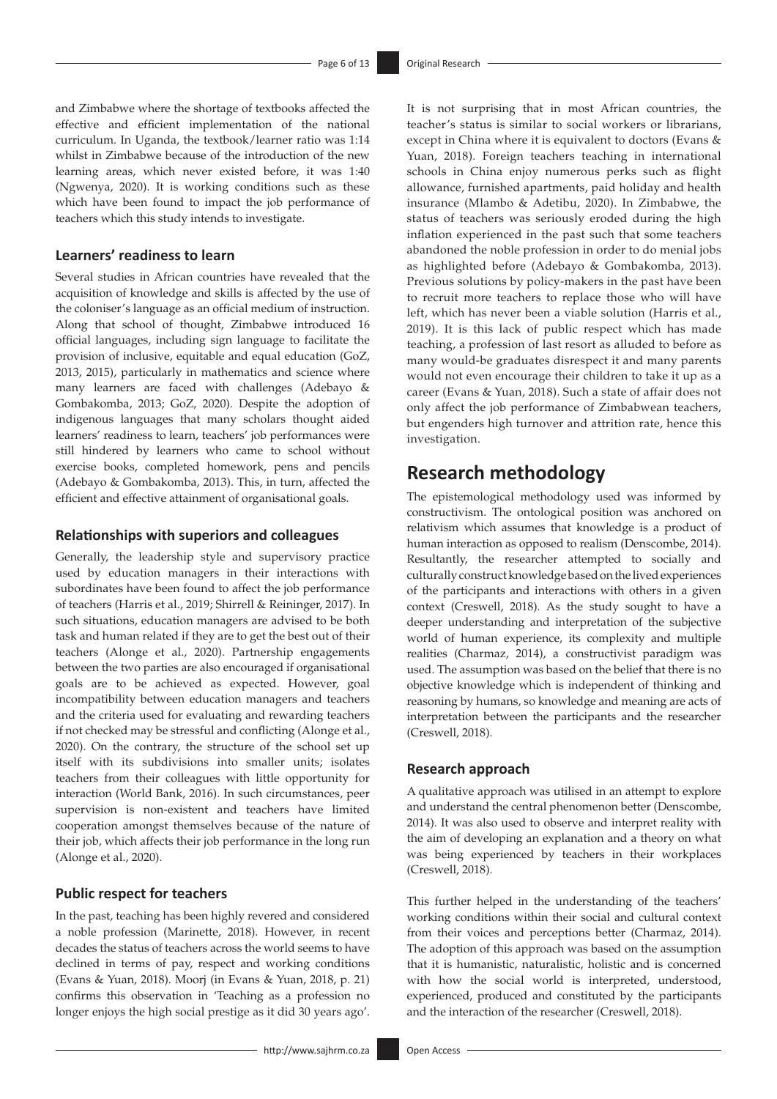and Zimbabwe where the shortage of textbooks affected the effective and efficient implementation of the national curriculum. In Uganda, the textbook/learner ratio was 1:14 whilst in Zimbabwe because of the introduction of the new learning areas, which never existed before, it was 1:40 (Ngwenya, 2020). It is working conditions such as these which have been found to impact the job performance of teachers which this study intends to investigate.

# **Learners' readiness to learn**

Several studies in African countries have revealed that the acquisition of knowledge and skills is affected by the use of the coloniser's language as an official medium of instruction. Along that school of thought, Zimbabwe introduced 16 official languages, including sign language to facilitate the provision of inclusive, equitable and equal education (GoZ, 2013, 2015), particularly in mathematics and science where many learners are faced with challenges (Adebayo & Gombakomba, 2013; GoZ, 2020). Despite the adoption of indigenous languages that many scholars thought aided learners' readiness to learn, teachers' job performances were still hindered by learners who came to school without exercise books, completed homework, pens and pencils (Adebayo & Gombakomba, 2013). This, in turn, affected the efficient and effective attainment of organisational goals.

# **Relationships with superiors and colleagues**

Generally, the leadership style and supervisory practice used by education managers in their interactions with subordinates have been found to affect the job performance of teachers (Harris et al., 2019; Shirrell & Reininger, 2017). In such situations, education managers are advised to be both task and human related if they are to get the best out of their teachers (Alonge et al., 2020). Partnership engagements between the two parties are also encouraged if organisational goals are to be achieved as expected. However, goal incompatibility between education managers and teachers and the criteria used for evaluating and rewarding teachers if not checked may be stressful and conflicting (Alonge et al., 2020). On the contrary, the structure of the school set up itself with its subdivisions into smaller units; isolates teachers from their colleagues with little opportunity for interaction (World Bank, 2016). In such circumstances, peer supervision is non-existent and teachers have limited cooperation amongst themselves because of the nature of their job, which affects their job performance in the long run (Alonge et al., 2020).

# **Public respect for teachers**

In the past, teaching has been highly revered and considered a noble profession (Marinette, 2018). However, in recent decades the status of teachers across the world seems to have declined in terms of pay, respect and working conditions (Evans & Yuan, 2018). Moorj (in Evans & Yuan, 2018, p. 21) confirms this observation in 'Teaching as a profession no longer enjoys the high social prestige as it did 30 years ago'. It is not surprising that in most African countries, the teacher's status is similar to social workers or librarians, except in China where it is equivalent to doctors (Evans & Yuan, 2018). Foreign teachers teaching in international schools in China enjoy numerous perks such as flight allowance, furnished apartments, paid holiday and health insurance (Mlambo & Adetibu, 2020). In Zimbabwe, the status of teachers was seriously eroded during the high inflation experienced in the past such that some teachers abandoned the noble profession in order to do menial jobs as highlighted before (Adebayo & Gombakomba, 2013). Previous solutions by policy-makers in the past have been to recruit more teachers to replace those who will have left, which has never been a viable solution (Harris et al., 2019). It is this lack of public respect which has made teaching, a profession of last resort as alluded to before as many would-be graduates disrespect it and many parents would not even encourage their children to take it up as a career (Evans & Yuan, 2018). Such a state of affair does not only affect the job performance of Zimbabwean teachers, but engenders high turnover and attrition rate, hence this investigation.

# **Research methodology**

The epistemological methodology used was informed by constructivism. The ontological position was anchored on relativism which assumes that knowledge is a product of human interaction as opposed to realism (Denscombe, 2014). Resultantly, the researcher attempted to socially and culturally construct knowledge based on the lived experiences of the participants and interactions with others in a given context (Creswell, 2018). As the study sought to have a deeper understanding and interpretation of the subjective world of human experience, its complexity and multiple realities (Charmaz, 2014), a constructivist paradigm was used. The assumption was based on the belief that there is no objective knowledge which is independent of thinking and reasoning by humans, so knowledge and meaning are acts of interpretation between the participants and the researcher (Creswell, 2018).

# **Research approach**

A qualitative approach was utilised in an attempt to explore and understand the central phenomenon better (Denscombe, 2014). It was also used to observe and interpret reality with the aim of developing an explanation and a theory on what was being experienced by teachers in their workplaces (Creswell, 2018).

This further helped in the understanding of the teachers' working conditions within their social and cultural context from their voices and perceptions better (Charmaz, 2014). The adoption of this approach was based on the assumption that it is humanistic, naturalistic, holistic and is concerned with how the social world is interpreted, understood, experienced, produced and constituted by the participants and the interaction of the researcher (Creswell, 2018).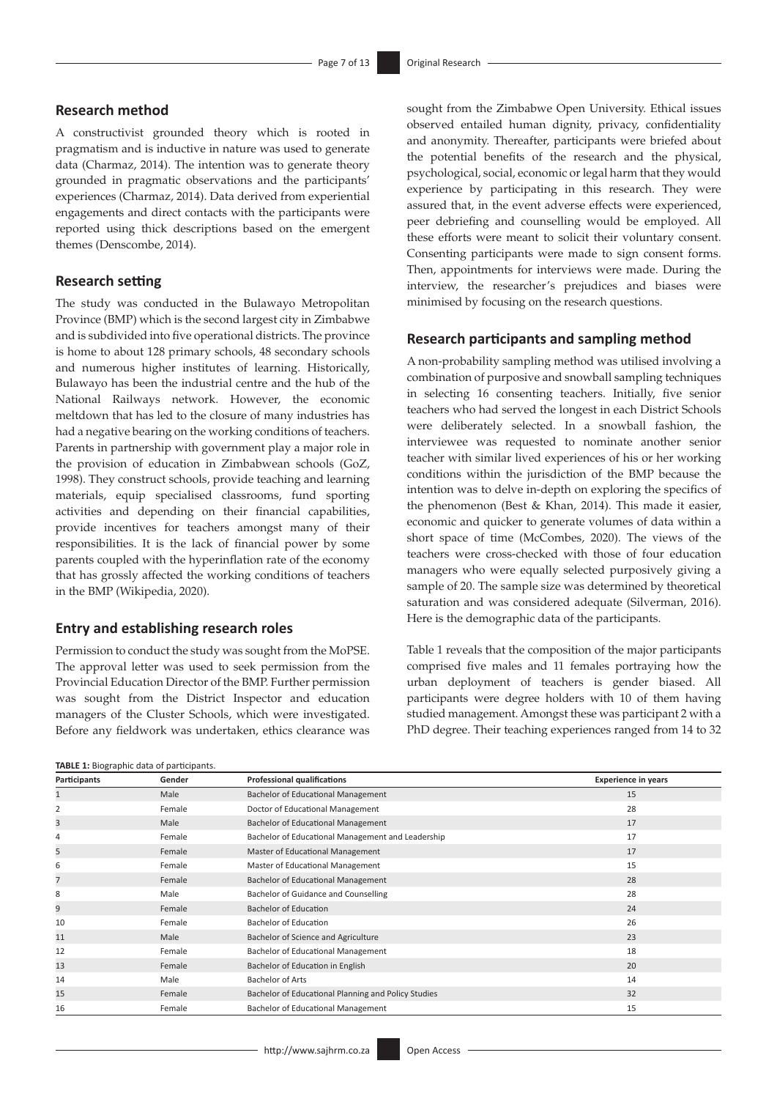# **Research method**

A constructivist grounded theory which is rooted in pragmatism and is inductive in nature was used to generate data (Charmaz, 2014). The intention was to generate theory grounded in pragmatic observations and the participants' experiences (Charmaz, 2014). Data derived from experiential engagements and direct contacts with the participants were reported using thick descriptions based on the emergent themes (Denscombe, 2014).

# **Research setting**

The study was conducted in the Bulawayo Metropolitan Province (BMP) which is the second largest city in Zimbabwe and is subdivided into five operational districts. The province is home to about 128 primary schools, 48 secondary schools and numerous higher institutes of learning. Historically, Bulawayo has been the industrial centre and the hub of the National Railways network. However, the economic meltdown that has led to the closure of many industries has had a negative bearing on the working conditions of teachers. Parents in partnership with government play a major role in the provision of education in Zimbabwean schools (GoZ, 1998). They construct schools, provide teaching and learning materials, equip specialised classrooms, fund sporting activities and depending on their financial capabilities, provide incentives for teachers amongst many of their responsibilities. It is the lack of financial power by some parents coupled with the hyperinflation rate of the economy that has grossly affected the working conditions of teachers in the BMP (Wikipedia, 2020).

# **Entry and establishing research roles**

Permission to conduct the study was sought from the MoPSE. The approval letter was used to seek permission from the Provincial Education Director of the BMP. Further permission was sought from the District Inspector and education managers of the Cluster Schools, which were investigated. Before any fieldwork was undertaken, ethics clearance was

#### **TABLE 1:** Biographic data of participants.

sought from the Zimbabwe Open University. Ethical issues observed entailed human dignity, privacy, confidentiality and anonymity. Thereafter, participants were briefed about the potential benefits of the research and the physical, psychological, social, economic or legal harm that they would experience by participating in this research. They were assured that, in the event adverse effects were experienced, peer debriefing and counselling would be employed. All these efforts were meant to solicit their voluntary consent. Consenting participants were made to sign consent forms. Then, appointments for interviews were made. During the interview, the researcher's prejudices and biases were minimised by focusing on the research questions.

# **Research participants and sampling method**

A non-probability sampling method was utilised involving a combination of purposive and snowball sampling techniques in selecting 16 consenting teachers. Initially, five senior teachers who had served the longest in each District Schools were deliberately selected. In a snowball fashion, the interviewee was requested to nominate another senior teacher with similar lived experiences of his or her working conditions within the jurisdiction of the BMP because the intention was to delve in-depth on exploring the specifics of the phenomenon (Best & Khan, 2014). This made it easier, economic and quicker to generate volumes of data within a short space of time (McCombes, 2020). The views of the teachers were cross-checked with those of four education managers who were equally selected purposively giving a sample of 20. The sample size was determined by theoretical saturation and was considered adequate (Silverman, 2016). Here is the demographic data of the participants.

Table 1 reveals that the composition of the major participants comprised five males and 11 females portraying how the urban deployment of teachers is gender biased. All participants were degree holders with 10 of them having studied management. Amongst these was participant 2 with a PhD degree. Their teaching experiences ranged from 14 to 32

| <b>TABLE 1:</b> Biographic data of participants. |        |                                                     |                            |  |  |
|--------------------------------------------------|--------|-----------------------------------------------------|----------------------------|--|--|
| Participants                                     | Gender | <b>Professional qualifications</b>                  | <b>Experience in years</b> |  |  |
|                                                  | Male   | Bachelor of Educational Management                  | 15                         |  |  |
| 2                                                | Female | Doctor of Educational Management<br>28              |                            |  |  |
| 3                                                | Male   | Bachelor of Educational Management                  | 17                         |  |  |
| 4                                                | Female | Bachelor of Educational Management and Leadership   | 17                         |  |  |
| 5                                                | Female | Master of Educational Management                    | 17                         |  |  |
| 6                                                | Female | Master of Educational Management                    | 15                         |  |  |
| $\overline{7}$                                   | Female | Bachelor of Educational Management                  | 28                         |  |  |
| 8                                                | Male   | Bachelor of Guidance and Counselling                | 28                         |  |  |
| 9                                                | Female | <b>Bachelor of Education</b><br>24                  |                            |  |  |
| 10                                               | Female | <b>Bachelor of Education</b>                        | 26                         |  |  |
| 11                                               | Male   | Bachelor of Science and Agriculture<br>23           |                            |  |  |
| 12                                               | Female | 18<br>Bachelor of Educational Management            |                            |  |  |
| 13                                               | Female | Bachelor of Education in English<br>20              |                            |  |  |
| 14                                               | Male   | <b>Bachelor of Arts</b><br>14                       |                            |  |  |
| 15                                               | Female | Bachelor of Educational Planning and Policy Studies | 32                         |  |  |
| 16                                               | Female | 15<br>Bachelor of Educational Management            |                            |  |  |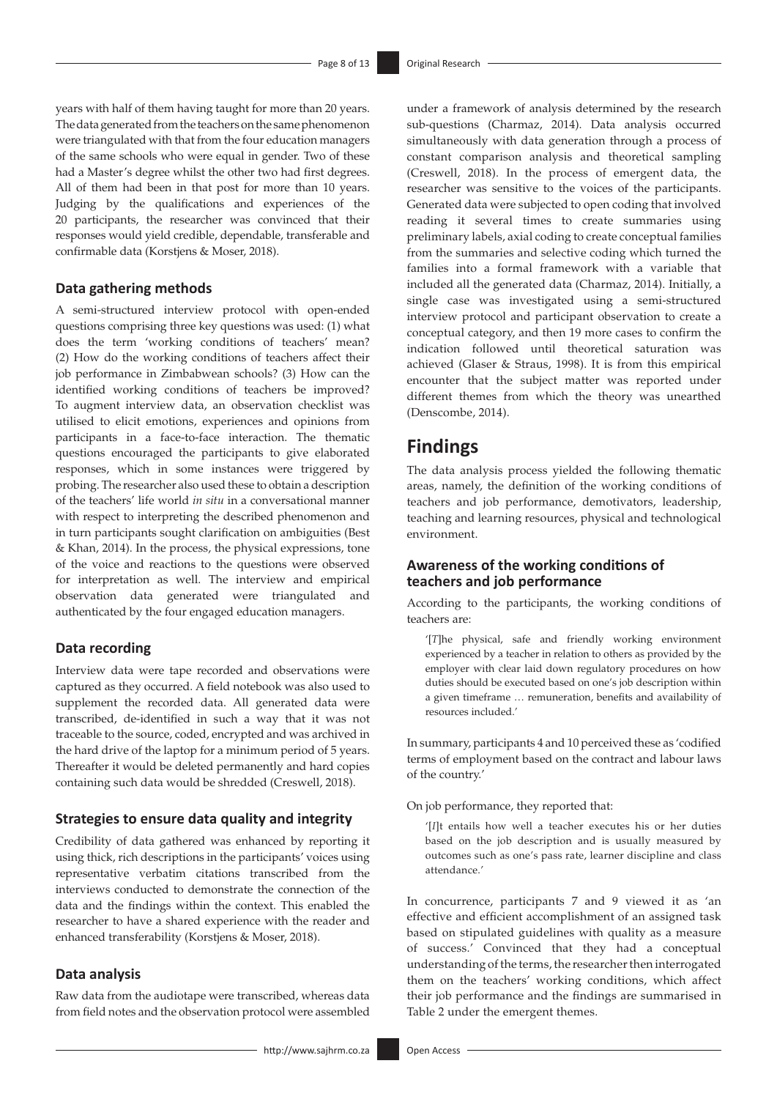years with half of them having taught for more than 20 years. The data generated from the teachers on the same phenomenon were triangulated with that from the four education managers of the same schools who were equal in gender. Two of these had a Master's degree whilst the other two had first degrees. All of them had been in that post for more than 10 years. Judging by the qualifications and experiences of the 20 participants, the researcher was convinced that their responses would yield credible, dependable, transferable and confirmable data (Korstjens & Moser, 2018).

# **Data gathering methods**

A semi-structured interview protocol with open-ended questions comprising three key questions was used: (1) what does the term 'working conditions of teachers' mean? (2) How do the working conditions of teachers affect their job performance in Zimbabwean schools? (3) How can the identified working conditions of teachers be improved? To augment interview data, an observation checklist was utilised to elicit emotions, experiences and opinions from participants in a face-to-face interaction. The thematic questions encouraged the participants to give elaborated responses, which in some instances were triggered by probing. The researcher also used these to obtain a description of the teachers' life world *in situ* in a conversational manner with respect to interpreting the described phenomenon and in turn participants sought clarification on ambiguities (Best & Khan, 2014). In the process, the physical expressions, tone of the voice and reactions to the questions were observed for interpretation as well. The interview and empirical observation data generated were triangulated and authenticated by the four engaged education managers.

# **Data recording**

Interview data were tape recorded and observations were captured as they occurred. A field notebook was also used to supplement the recorded data. All generated data were transcribed, de-identified in such a way that it was not traceable to the source, coded, encrypted and was archived in the hard drive of the laptop for a minimum period of 5 years. Thereafter it would be deleted permanently and hard copies containing such data would be shredded (Creswell, 2018).

# **Strategies to ensure data quality and integrity**

Credibility of data gathered was enhanced by reporting it using thick, rich descriptions in the participants' voices using representative verbatim citations transcribed from the interviews conducted to demonstrate the connection of the data and the findings within the context. This enabled the researcher to have a shared experience with the reader and enhanced transferability (Korstjens & Moser, 2018).

# **Data analysis**

Raw data from the audiotape were transcribed, whereas data from field notes and the observation protocol were assembled

under a framework of analysis determined by the research sub-questions (Charmaz, 2014). Data analysis occurred simultaneously with data generation through a process of constant comparison analysis and theoretical sampling (Creswell, 2018). In the process of emergent data, the researcher was sensitive to the voices of the participants. Generated data were subjected to open coding that involved reading it several times to create summaries using preliminary labels, axial coding to create conceptual families from the summaries and selective coding which turned the families into a formal framework with a variable that included all the generated data (Charmaz, 2014). Initially, a single case was investigated using a semi-structured interview protocol and participant observation to create a conceptual category, and then 19 more cases to confirm the indication followed until theoretical saturation was achieved (Glaser & Straus, 1998). It is from this empirical encounter that the subject matter was reported under different themes from which the theory was unearthed (Denscombe, 2014).

# **Findings**

The data analysis process yielded the following thematic areas, namely, the definition of the working conditions of teachers and job performance, demotivators, leadership, teaching and learning resources, physical and technological environment.

# **Awareness of the working conditions of teachers and job performance**

According to the participants, the working conditions of teachers are:

'[*T*]he physical, safe and friendly working environment experienced by a teacher in relation to others as provided by the employer with clear laid down regulatory procedures on how duties should be executed based on one's job description within a given timeframe … remuneration, benefits and availability of resources included.'

In summary, participants 4 and 10 perceived these as 'codified terms of employment based on the contract and labour laws of the country.'

On job performance, they reported that:

'[*I*]t entails how well a teacher executes his or her duties based on the job description and is usually measured by outcomes such as one's pass rate, learner discipline and class attendance.'

In concurrence, participants 7 and 9 viewed it as 'an effective and efficient accomplishment of an assigned task based on stipulated guidelines with quality as a measure of success.' Convinced that they had a conceptual understanding of the terms, the researcher then interrogated them on the teachers' working conditions, which affect their job performance and the findings are summarised in Table 2 under the emergent themes.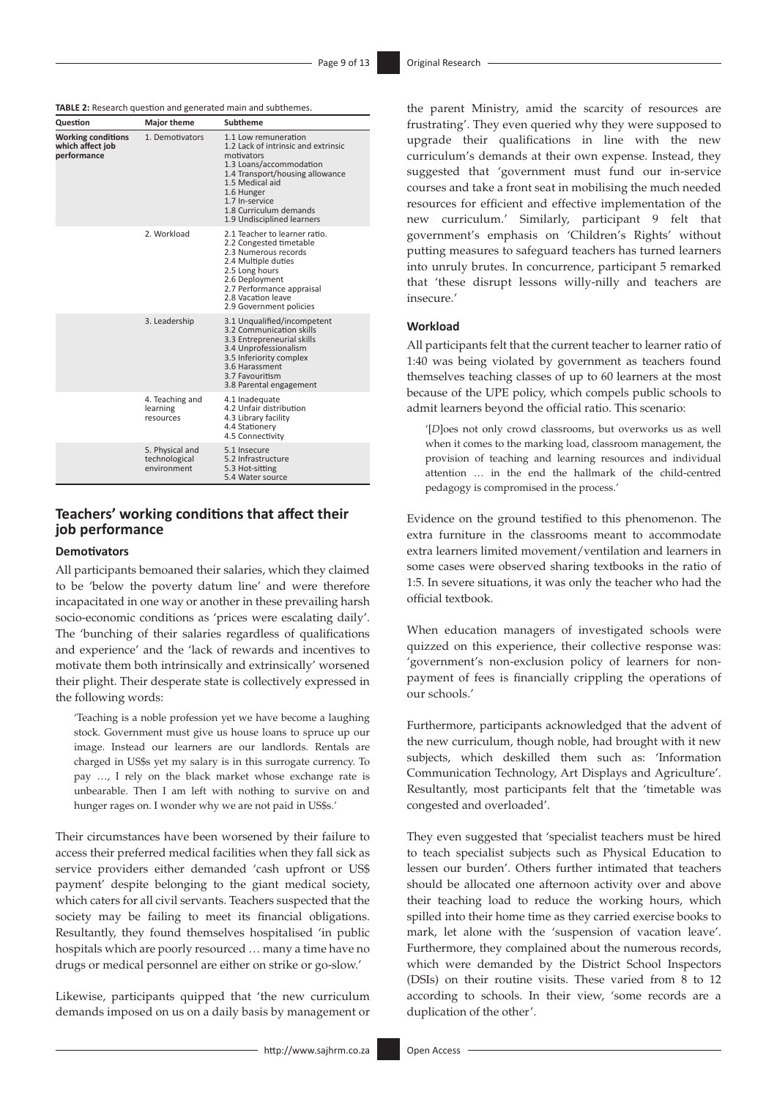**TABLE 2:** Research question and generated main and subthemes.

| Question                                                     | <b>Major theme</b>                              | Subtheme                                                                                                                                                                                                                                           |
|--------------------------------------------------------------|-------------------------------------------------|----------------------------------------------------------------------------------------------------------------------------------------------------------------------------------------------------------------------------------------------------|
| <b>Working conditions</b><br>which affect job<br>performance | 1. Demotivators                                 | 1.1 Low remuneration<br>1.2 Lack of intrinsic and extrinsic<br>motivators<br>1.3 Loans/accommodation<br>1.4 Transport/housing allowance<br>1.5 Medical aid<br>1.6 Hunger<br>1.7 In-service<br>1.8 Curriculum demands<br>1.9 Undisciplined learners |
|                                                              | 2 Workload                                      | 2.1 Teacher to learner ratio.<br>2.2 Congested timetable<br>2.3 Numerous records<br>2.4 Multiple duties<br>2.5 Long hours<br>2.6 Deployment<br>2.7 Performance appraisal<br>2.8 Vacation leave<br>2.9 Government policies                          |
|                                                              | 3. Leadership                                   | 3.1 Unqualified/incompetent<br>3.2 Communication skills<br>3.3 Entrepreneurial skills<br>3.4 Unprofessionalism<br>3.5 Inferiority complex<br>3.6 Harassment<br>3.7 Favouritism<br>3.8 Parental engagement                                          |
|                                                              | 4. Teaching and<br>learning<br>resources        | 4.1 Inadequate<br>4.2 Unfair distribution<br>4.3 Library facility<br>4.4 Stationery<br>4.5 Connectivity                                                                                                                                            |
|                                                              | 5. Physical and<br>technological<br>environment | 5.1 Insecure<br>5.2 Infrastructure<br>5.3 Hot-sitting<br>5.4 Water source                                                                                                                                                                          |

# **Teachers' working conditions that affect their job performance**

### **Demotivators**

All participants bemoaned their salaries, which they claimed to be 'below the poverty datum line' and were therefore incapacitated in one way or another in these prevailing harsh socio-economic conditions as 'prices were escalating daily'. The 'bunching of their salaries regardless of qualifications and experience' and the 'lack of rewards and incentives to motivate them both intrinsically and extrinsically' worsened their plight. Their desperate state is collectively expressed in the following words:

'Teaching is a noble profession yet we have become a laughing stock. Government must give us house loans to spruce up our image. Instead our learners are our landlords. Rentals are charged in US\$s yet my salary is in this surrogate currency. To pay …, I rely on the black market whose exchange rate is unbearable. Then I am left with nothing to survive on and hunger rages on. I wonder why we are not paid in US\$s.'

Their circumstances have been worsened by their failure to access their preferred medical facilities when they fall sick as service providers either demanded 'cash upfront or US\$ payment' despite belonging to the giant medical society, which caters for all civil servants. Teachers suspected that the society may be failing to meet its financial obligations. Resultantly, they found themselves hospitalised 'in public hospitals which are poorly resourced … many a time have no drugs or medical personnel are either on strike or go-slow.'

Likewise, participants quipped that 'the new curriculum demands imposed on us on a daily basis by management or the parent Ministry, amid the scarcity of resources are frustrating'. They even queried why they were supposed to upgrade their qualifications in line with the new curriculum's demands at their own expense. Instead, they suggested that 'government must fund our in-service courses and take a front seat in mobilising the much needed resources for efficient and effective implementation of the new curriculum.' Similarly, participant 9 felt that government's emphasis on 'Children's Rights' without putting measures to safeguard teachers has turned learners into unruly brutes. In concurrence, participant 5 remarked that 'these disrupt lessons willy-nilly and teachers are insecure.'

# **Workload**

All participants felt that the current teacher to learner ratio of 1:40 was being violated by government as teachers found themselves teaching classes of up to 60 learners at the most because of the UPE policy, which compels public schools to admit learners beyond the official ratio. This scenario:

'[*D*]oes not only crowd classrooms, but overworks us as well when it comes to the marking load, classroom management, the provision of teaching and learning resources and individual attention … in the end the hallmark of the child-centred pedagogy is compromised in the process.'

Evidence on the ground testified to this phenomenon. The extra furniture in the classrooms meant to accommodate extra learners limited movement/ventilation and learners in some cases were observed sharing textbooks in the ratio of 1:5. In severe situations, it was only the teacher who had the official textbook.

When education managers of investigated schools were quizzed on this experience, their collective response was: 'government's non-exclusion policy of learners for nonpayment of fees is financially crippling the operations of our schools.'

Furthermore, participants acknowledged that the advent of the new curriculum, though noble, had brought with it new subjects, which deskilled them such as: 'Information Communication Technology, Art Displays and Agriculture'. Resultantly, most participants felt that the 'timetable was congested and overloaded'.

They even suggested that 'specialist teachers must be hired to teach specialist subjects such as Physical Education to lessen our burden'. Others further intimated that teachers should be allocated one afternoon activity over and above their teaching load to reduce the working hours, which spilled into their home time as they carried exercise books to mark, let alone with the 'suspension of vacation leave'. Furthermore, they complained about the numerous records, which were demanded by the District School Inspectors (DSIs) on their routine visits. These varied from 8 to 12 according to schools. In their view, 'some records are a duplication of the other'.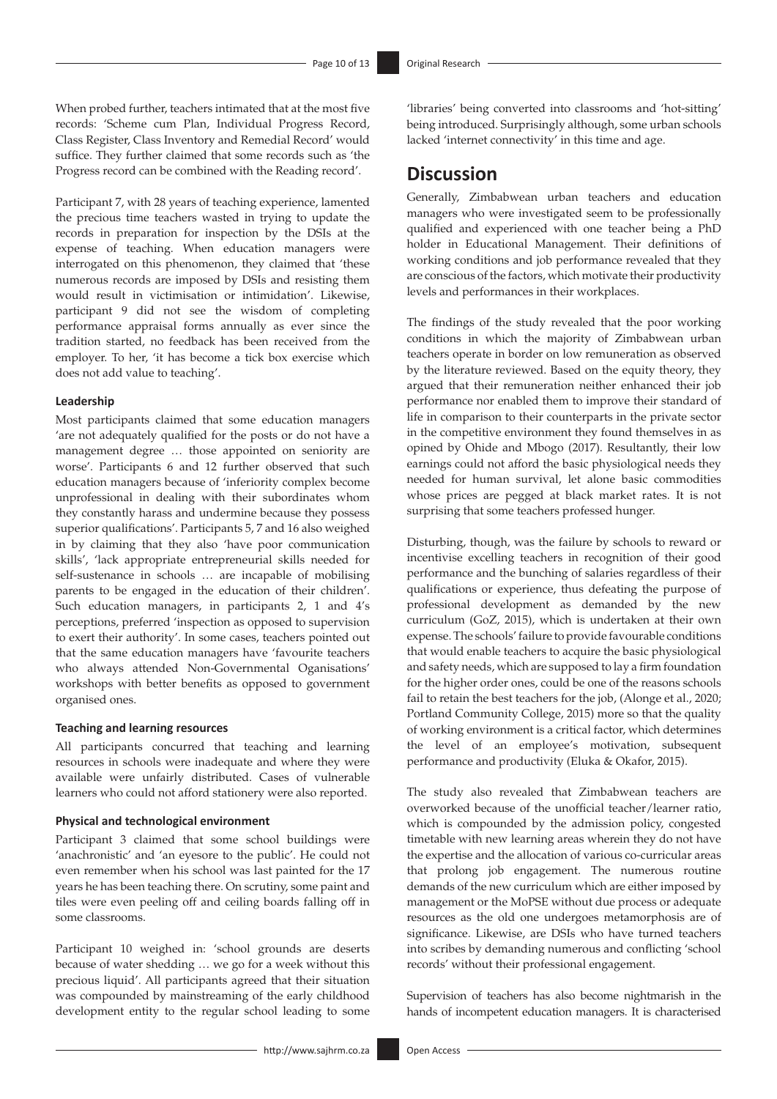When probed further, teachers intimated that at the most five records: 'Scheme cum Plan, Individual Progress Record, Class Register, Class Inventory and Remedial Record' would suffice. They further claimed that some records such as 'the Progress record can be combined with the Reading record'.

Participant 7, with 28 years of teaching experience, lamented the precious time teachers wasted in trying to update the records in preparation for inspection by the DSIs at the expense of teaching. When education managers were interrogated on this phenomenon, they claimed that 'these numerous records are imposed by DSIs and resisting them would result in victimisation or intimidation'. Likewise, participant 9 did not see the wisdom of completing performance appraisal forms annually as ever since the tradition started, no feedback has been received from the employer. To her, 'it has become a tick box exercise which does not add value to teaching'.

#### **Leadership**

Most participants claimed that some education managers 'are not adequately qualified for the posts or do not have a management degree … those appointed on seniority are worse'. Participants 6 and 12 further observed that such education managers because of 'inferiority complex become unprofessional in dealing with their subordinates whom they constantly harass and undermine because they possess superior qualifications'. Participants 5, 7 and 16 also weighed in by claiming that they also 'have poor communication skills', 'lack appropriate entrepreneurial skills needed for self-sustenance in schools … are incapable of mobilising parents to be engaged in the education of their children'. Such education managers, in participants 2, 1 and 4's perceptions, preferred 'inspection as opposed to supervision to exert their authority'. In some cases, teachers pointed out that the same education managers have 'favourite teachers who always attended Non-Governmental Oganisations' workshops with better benefits as opposed to government organised ones.

### **Teaching and learning resources**

All participants concurred that teaching and learning resources in schools were inadequate and where they were available were unfairly distributed. Cases of vulnerable learners who could not afford stationery were also reported.

### **Physical and technological environment**

Participant 3 claimed that some school buildings were 'anachronistic' and 'an eyesore to the public'. He could not even remember when his school was last painted for the 17 years he has been teaching there. On scrutiny, some paint and tiles were even peeling off and ceiling boards falling off in some classrooms.

Participant 10 weighed in: 'school grounds are deserts because of water shedding … we go for a week without this precious liquid'. All participants agreed that their situation was compounded by mainstreaming of the early childhood development entity to the regular school leading to some

'libraries' being converted into classrooms and 'hot-sitting' being introduced. Surprisingly although, some urban schools lacked 'internet connectivity' in this time and age.

# **Discussion**

Generally, Zimbabwean urban teachers and education managers who were investigated seem to be professionally qualified and experienced with one teacher being a PhD holder in Educational Management. Their definitions of working conditions and job performance revealed that they are conscious of the factors, which motivate their productivity levels and performances in their workplaces.

The findings of the study revealed that the poor working conditions in which the majority of Zimbabwean urban teachers operate in border on low remuneration as observed by the literature reviewed. Based on the equity theory, they argued that their remuneration neither enhanced their job performance nor enabled them to improve their standard of life in comparison to their counterparts in the private sector in the competitive environment they found themselves in as opined by Ohide and Mbogo (2017). Resultantly, their low earnings could not afford the basic physiological needs they needed for human survival, let alone basic commodities whose prices are pegged at black market rates. It is not surprising that some teachers professed hunger.

Disturbing, though, was the failure by schools to reward or incentivise excelling teachers in recognition of their good performance and the bunching of salaries regardless of their qualifications or experience, thus defeating the purpose of professional development as demanded by the new curriculum (GoZ, 2015), which is undertaken at their own expense. The schools' failure to provide favourable conditions that would enable teachers to acquire the basic physiological and safety needs, which are supposed to lay a firm foundation for the higher order ones, could be one of the reasons schools fail to retain the best teachers for the job, (Alonge et al., 2020; Portland Community College, 2015) more so that the quality of working environment is a critical factor, which determines the level of an employee's motivation, subsequent performance and productivity (Eluka & Okafor, 2015).

The study also revealed that Zimbabwean teachers are overworked because of the unofficial teacher/learner ratio, which is compounded by the admission policy, congested timetable with new learning areas wherein they do not have the expertise and the allocation of various co-curricular areas that prolong job engagement. The numerous routine demands of the new curriculum which are either imposed by management or the MoPSE without due process or adequate resources as the old one undergoes metamorphosis are of significance. Likewise, are DSIs who have turned teachers into scribes by demanding numerous and conflicting 'school records' without their professional engagement.

Supervision of teachers has also become nightmarish in the hands of incompetent education managers. It is characterised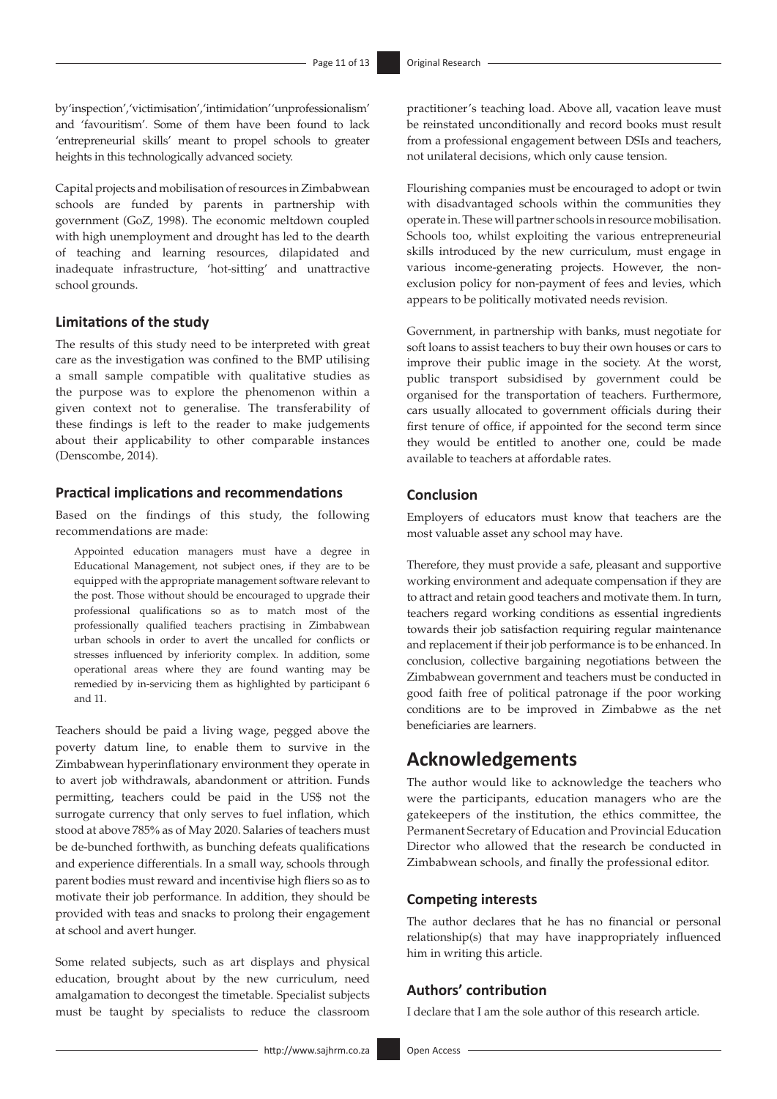by 'inspection', 'victimisation', 'intimidation' 'unprofessionalism' and 'favouritism'. Some of them have been found to lack 'entrepreneurial skills' meant to propel schools to greater heights in this technologically advanced society.

Capital projects and mobilisation of resources in Zimbabwean schools are funded by parents in partnership with government (GoZ, 1998). The economic meltdown coupled with high unemployment and drought has led to the dearth of teaching and learning resources, dilapidated and inadequate infrastructure, 'hot-sitting' and unattractive school grounds.

# **Limitations of the study**

The results of this study need to be interpreted with great care as the investigation was confined to the BMP utilising a small sample compatible with qualitative studies as the purpose was to explore the phenomenon within a given context not to generalise. The transferability of these findings is left to the reader to make judgements about their applicability to other comparable instances (Denscombe, 2014).

# **Practical implications and recommendations**

Based on the findings of this study, the following recommendations are made:

Appointed education managers must have a degree in Educational Management, not subject ones, if they are to be equipped with the appropriate management software relevant to the post. Those without should be encouraged to upgrade their professional qualifications so as to match most of the professionally qualified teachers practising in Zimbabwean urban schools in order to avert the uncalled for conflicts or stresses influenced by inferiority complex. In addition, some operational areas where they are found wanting may be remedied by in-servicing them as highlighted by participant 6 and 11.

Teachers should be paid a living wage, pegged above the poverty datum line, to enable them to survive in the Zimbabwean hyperinflationary environment they operate in to avert job withdrawals, abandonment or attrition. Funds permitting, teachers could be paid in the US\$ not the surrogate currency that only serves to fuel inflation, which stood at above 785% as of May 2020. Salaries of teachers must be de-bunched forthwith, as bunching defeats qualifications and experience differentials. In a small way, schools through parent bodies must reward and incentivise high fliers so as to motivate their job performance. In addition, they should be provided with teas and snacks to prolong their engagement at school and avert hunger.

Some related subjects, such as art displays and physical education, brought about by the new curriculum, need amalgamation to decongest the timetable. Specialist subjects must be taught by specialists to reduce the classroom

practitioner's teaching load. Above all, vacation leave must be reinstated unconditionally and record books must result from a professional engagement between DSIs and teachers, not unilateral decisions, which only cause tension.

Flourishing companies must be encouraged to adopt or twin with disadvantaged schools within the communities they operate in. These will partner schools in resource mobilisation. Schools too, whilst exploiting the various entrepreneurial skills introduced by the new curriculum, must engage in various income-generating projects. However, the nonexclusion policy for non-payment of fees and levies, which appears to be politically motivated needs revision.

Government, in partnership with banks, must negotiate for soft loans to assist teachers to buy their own houses or cars to improve their public image in the society. At the worst, public transport subsidised by government could be organised for the transportation of teachers. Furthermore, cars usually allocated to government officials during their first tenure of office, if appointed for the second term since they would be entitled to another one, could be made available to teachers at affordable rates.

# **Conclusion**

Employers of educators must know that teachers are the most valuable asset any school may have.

Therefore, they must provide a safe, pleasant and supportive working environment and adequate compensation if they are to attract and retain good teachers and motivate them. In turn, teachers regard working conditions as essential ingredients towards their job satisfaction requiring regular maintenance and replacement if their job performance is to be enhanced. In conclusion, collective bargaining negotiations between the Zimbabwean government and teachers must be conducted in good faith free of political patronage if the poor working conditions are to be improved in Zimbabwe as the net beneficiaries are learners.

# **Acknowledgements**

The author would like to acknowledge the teachers who were the participants, education managers who are the gatekeepers of the institution, the ethics committee, the Permanent Secretary of Education and Provincial Education Director who allowed that the research be conducted in Zimbabwean schools, and finally the professional editor.

# **Competing interests**

The author declares that he has no financial or personal relationship(s) that may have inappropriately influenced him in writing this article.

# **Authors' contribution**

I declare that I am the sole author of this research article.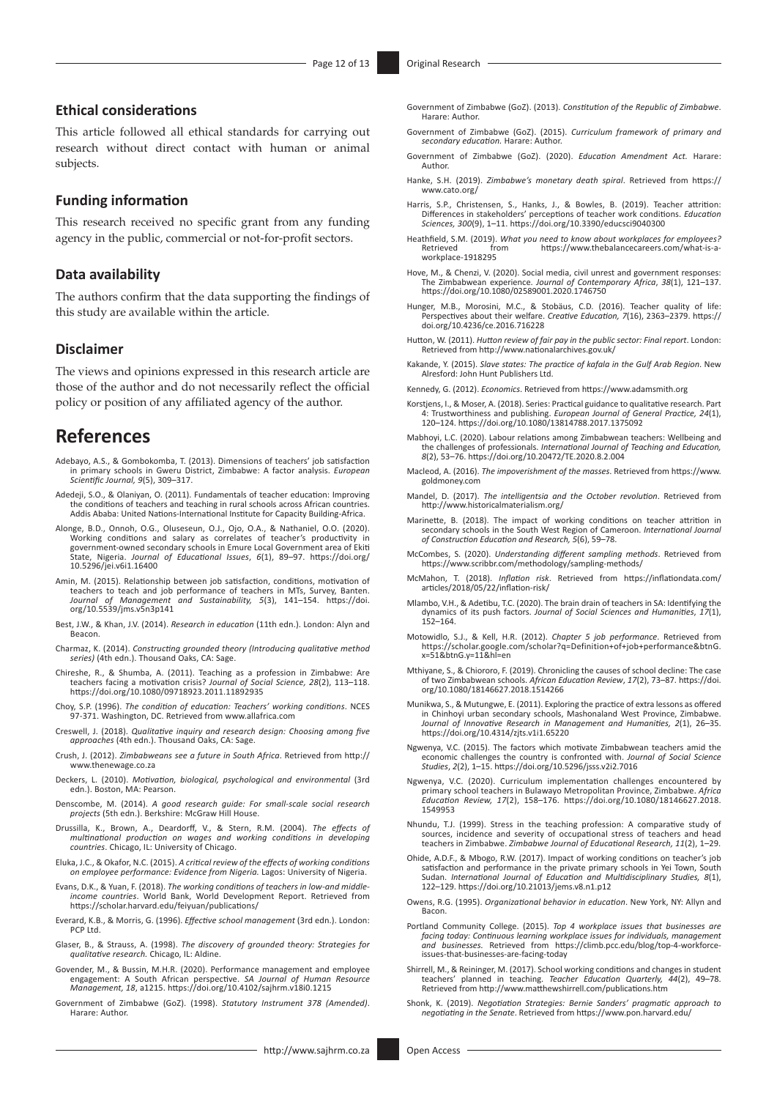# **Ethical considerations**

This article followed all ethical standards for carrying out research without direct contact with human or animal subjects.

# **Funding information**

This research received no specific grant from any funding agency in the public, commercial or not-for-profit sectors.

# **Data availability**

The authors confirm that the data supporting the findings of this study are available within the article.

### **Disclaimer**

The views and opinions expressed in this research article are those of the author and do not necessarily reflect the official policy or position of any affiliated agency of the author.

# **References**

- Adebayo, A.S., & Gombokomba, T. (2013). Dimensions of teachers' job satisfaction in primary schools in Gweru District, Zimbabwe: A factor analysis. *European Scientific Journal, 9*(5), 309–317.
- Adedeji, S.O., & Olaniyan, O. (2011). Fundamentals of teacher education: Improving the conditions of teachers and teaching in rural schools across African countries. Addis Ababa: United Nations-International Institute for Capacity Building-Africa.
- Alonge, B.D., Onnoh, O.G., Oluseseun, O.J., Ojo, O.A., & Nathaniel, O.O. (2020). Working conditions and salary as correlates of teacher's productivity in government-owned secondary schools in Emure Local Government area of Ekiti State, Nigeria. *Journal of Educational Issues*, *6*(1), 89–97. [https://doi.org/](https://doi.org/10.5296/jei.v6i1.16400) [10.5296/jei.v6i1.16400](https://doi.org/10.5296/jei.v6i1.16400)
- Amin, M. (2015). Relationship between job satisfaction, conditions, motivation of teachers to teach and job performance of teachers in MTs, Survey, Banten. *Journal of Management and Sustainability, 5*(3), 141–154. [https://doi.](https://doi.org/10.5539/jms.v5n3p141) [org/10.5539/jms.v5n3p141](https://doi.org/10.5539/jms.v5n3p141)
- Best, J.W., & Khan, J.V. (2014). *Research in education* (11th edn.). London: Alyn and Beacon.
- Charmaz, K. (2014). *Constructing grounded theory (Introducing qualitative method series)* (4th edn.). Thousand Oaks, CA: Sage.
- Chireshe, R., & Shumba, A. (2011). Teaching as a profession in Zimbabwe: Are teachers facing a motivation crisis? *Journal of Social Science, 28*(2), 113–118. <https://doi.org/10.1080/09718923.2011.11892935>
- Choy, S.P. (1996). *The condition of education: Teachers' working conditions*. NCES 97-371. Washington, DC. Retrieved from [www.allafrica.com](http://www.allafrica.com)
- Creswell, J. (2018). *Qualitative inquiry and research design: Choosing among five approaches* (4th edn.). Thousand Oaks, CA: Sage.
- Crush, J. (2012). *Zimbabweans see a future in South Africa*. Retrieved from [http://](http://www.thenewage.co.za) [www.thenewage.co.za](http://www.thenewage.co.za)
- Deckers, L. (2010). *Motivation, biological, psychological and environmental* (3rd edn.). Boston, MA: Pearson.
- Denscombe, M. (2014). *A good research guide: For small-scale social research projects* (5th edn.). Berkshire: McGraw Hill House.
- Drussilla, K., Brown, A., Deardorff, V., & Stern, R.M. (2004). *The effects of multinational production on wages and working conditions in developing countries*. Chicago, IL: University of Chicago.
- Eluka, J.C., & Okafor, N.C. (2015). *A critical review of the effects of working conditions on employee performance: Evidence from Nigeria.* Lagos: University of Nigeria.
- Evans, D.K., & Yuan, F. (2018). *The working conditions of teachers in low-and middleincome countries*. World Bank, World Development Report. Retrieved from <https://scholar.harvard.edu/feiyuan/publications/>
- Everard, K.B., & Morris, G. (1996). *Effective school management* (3rd edn.). London: PCP Ltd.
- Glaser, B., & Strauss, A. (1998). *The discovery of grounded theory: Strategies for qualitative research.* Chicago, IL: Aldine.
- Govender, M., & Bussin, M.H.R. (2020). Performance management and employee engagement: A South African perspective. *SA Journal of Human Resource Management, 18*, a1215. <https://doi.org/10.4102/sajhrm.v18i0.1215>
- Government of Zimbabwe (GoZ). (1998). *Statutory Instrument 378 (Amended)*. Harare: Author.
- Government of Zimbabwe (GoZ). (2013). *Constitution of the Republic of Zimbabwe*. Harare: Author.
- Government of Zimbabwe (GoZ). (2015). *Curriculum framework of primary and secondary education.* Harare: Author.
- Government of Zimbabwe (GoZ). (2020). *Education Amendment Act.* Harare: Author.
- Hanke, S.H. (2019). *Zimbabwe's monetary death spiral*. Retrieved from [https://](https://www.cato.org/) www.cato.org
- Harris, S.P., Christensen, S., Hanks, J., & Bowles, B. (2019). Teacher attrition: Differences in stakeholders' perceptions of teacher work conditions. *Education Sciences, 300*(9), 1–11. <https://doi.org/10.3390/educsci9040300>
- Heathfield, S.M. (2019). *What you need to know about workplaces for employees?* [https://www.thebalancecareers.com/what-is-a](https://www.thebalancecareers.com/what-is-a-workplace-1918295)[workplace-1918295](https://www.thebalancecareers.com/what-is-a-workplace-1918295)
- Hove, M., & Chenzi, V. (2020). Social media, civil unrest and government responses: The Zimbabwean experience. *Journal of Contemporary Africa*, *38*(1), 121–137. <https://doi.org/10.1080/02589001.2020.1746750>
- Hunger, M.B., Morosini, M.C., & Stobäus, C.D. (2016). Teacher quality of life: Perspectives about their welfare. *Creative Education, 7*(16), 2363–2379. [https://](https://doi.org/10.4236/ce.2016.716228) [doi.org/10.4236/ce.2016.716228](https://doi.org/10.4236/ce.2016.716228)
- Hutton, W. (2011). *Hutton review of fair pay in the public sector: Final report*. London: Retrieved from<http://www.nationalarchives.gov.uk/>
- Kakande, Y. (2015). *Slave states: The practice of kafala in the Gulf Arab Region*. New Alresford: John Hunt Publishers Ltd.
- Kennedy, G. (2012). *Economics*. Retrieved from<https://www.adamsmith.org>
- Korstjens, I., & Moser, A. (2018). Series: Practical guidance to qualitative research. Part 4: Trustworthiness and publishing. *European Journal of General Practice, 24*(1), 120–124.<https://doi.org/10.1080/13814788.2017.1375092>
- Mabhoyi, L.C. (2020). Labour relations among Zimbabwean teachers: Wellbeing and the challenges of professionals. *International Journal of Teaching and Education, 8*(2), 53–76. <https://doi.org/10.20472/TE.2020.8.2.004>
- Macleod, A. (2016). *The impoverishment of the masses*. Retrieved from [https://www.](https://www.goldmoney.com) [goldmoney.com](https://www.goldmoney.com)
- Mandel, D. (2017). *The intelligentsia and the October revolution*. Retrieved from <http://www.historicalmaterialism.org/>
- Marinette, B. (2018). The impact of working conditions on teacher attrition in secondary schools in the South West Region of Cameroon. *International Journal of Construction Education and Research, 5*(6), 59–78.
- McCombes, S. (2020). *Understanding different sampling methods*. Retrieved from <https://www.scribbr.com/methodology/sampling-methods/>
- McMahon, T. (2018). *Inflation risk*. Retrieved from [https://inflationdata.com/](https://inflationdata.com/articles/2018/05/22/inflation-risk/) [articles/2018/05/22/inflation-risk/](https://inflationdata.com/articles/2018/05/22/inflation-risk/)
- Mlambo, V.H., & Adetibu, T.C. (2020). The brain drain of teachers in SA: Identifying the dynamics of its push factors. *Journal of Social Sciences and Humanities*, *17*(1), 152–164.
- Motowidlo, S.J., & Kell, H.R. (2012). *Chapter 5 job performance*. Retrieved from [https://scholar.google.com/scholar?q=Definition+of+job+performance&btnG.](https://scholar.google.com/scholar?q=Definition+of+job+performance&btnG.x=51&btnG.y=11&hl=en) [x=51&btnG.y=11&hl=en](https://scholar.google.com/scholar?q=Definition+of+job+performance&btnG.x=51&btnG.y=11&hl=en)
- Mthiyane, S., & Chiororo, F. (2019). Chronicling the causes of school decline: The case of two Zimbabwean schools. *African Education Review*, *17*(2), 73–87. [https://doi.](https://doi.org/10.1080/18146627.2018.1514266) [org/10.1080/18146627.2018.1514266](https://doi.org/10.1080/18146627.2018.1514266)
- Munikwa, S., & Mutungwe, E. (2011). Exploring the practice of extra lessons as offered in Chinhoyi urban secondary schools, Mashonaland West Province, Zimbaby. *Journal of Innovative Research in Management and Humanities, 2*(1), 26–35. <https://doi.org/10.4314/zjts.v1i1.65220>
- Ngwenya, V.C. (2015). The factors which motivate Zimbabwean teachers amid the economic challenges the country is confronted with. *Journal of Social Science Studies*, *2*(2), 1–15.<https://doi.org/10.5296/jsss.v2i2.7016>
- Ngwenya, V.C. (2020). Curriculum implementation challenges encountered by primary school teachers in Bulawayo Metropolitan Province, Zimbabwe. *Africa Education Review, 17*(2), 158–176. [https://doi.org/10.1080/18146627.2018.](https://doi.org/10.1080/18146627.2018.1549953) [1549953](https://doi.org/10.1080/18146627.2018.1549953)
- Nhundu, T.J. (1999). Stress in the teaching profession: A comparative study of sources, incidence and severity of occupational stress of teachers and head teachers in Zimbabwe. *Zimbabwe Journal of Educational Research, 11*(2), 1–29.
- Ohide, A.D.F., & Mbogo, R.W. (2017). Impact of working conditions on teacher's job satisfaction and performance in the private primary schools in Yei Town, South Sudan. *International Journal of Education and Multidisciplinary Studies, 8*(1), 122–129.<https://doi.org/10.21013/jems.v8.n1.p12>
- Owens, R.G. (1995). *Organizational behavior in education*. New York, NY: Allyn and Bacon.
- Portland Community College. (2015). *Top 4 workplace issues that businesses are facing today: Continuous learning workplace issues for individuals, management and businesses.* Retrieved from [https://climb.pcc.edu/blog/top-4-workforce](https://climb.pcc.edu/blog/top-4-workforce-issues-that-businesses-are-facing-today)[issues-that-businesses-are-facing-today](https://climb.pcc.edu/blog/top-4-workforce-issues-that-businesses-are-facing-today)
- Shirrell, M., & Reininger, M. (2017). School working conditions and changes in student teachers' planned in teaching. *Teacher Education Quarterly, 44*(2), 49–78. Retrieved from<http://www.matthewshirrell.com/publications.htm>
- Shonk, K. (2019). *Negotiation Strategies: Bernie Sanders' pragmatic approach to negotiating in the Senate*. Retrieved from <https://www.pon.harvard.edu/>